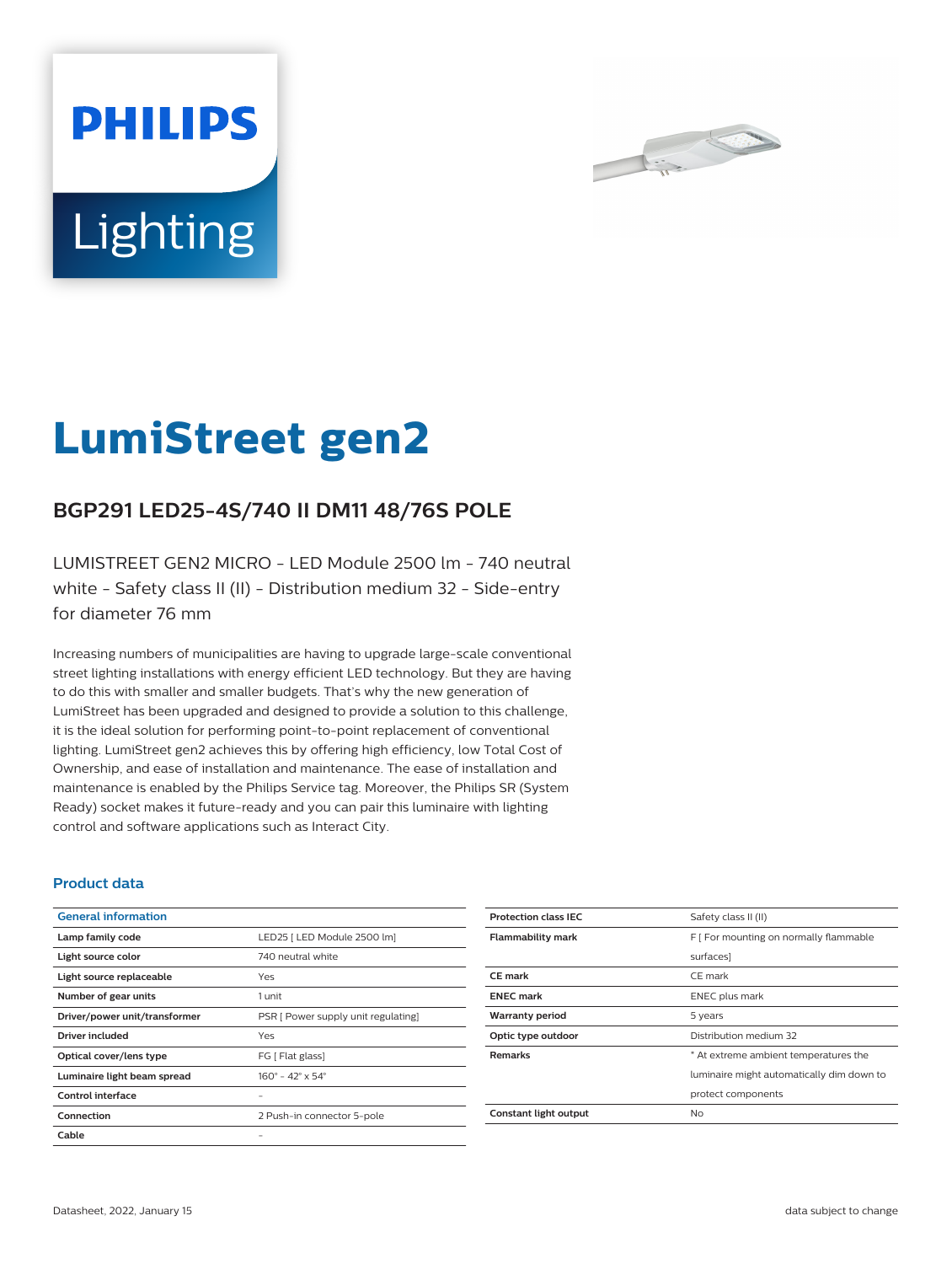



# **LumiStreet gen2**

## **BGP291 LED25-4S/740 II DM11 48/76S POLE**

LUMISTREET GEN2 MICRO - LED Module 2500 lm - 740 neutral white - Safety class II (II) - Distribution medium 32 - Side-entry for diameter 76 mm

Increasing numbers of municipalities are having to upgrade large-scale conventional street lighting installations with energy efficient LED technology. But they are having to do this with smaller and smaller budgets. That's why the new generation of LumiStreet has been upgraded and designed to provide a solution to this challenge, it is the ideal solution for performing point-to-point replacement of conventional lighting. LumiStreet gen2 achieves this by offering high efficiency, low Total Cost of Ownership, and ease of installation and maintenance. The ease of installation and maintenance is enabled by the Philips Service tag. Moreover, the Philips SR (System Ready) socket makes it future-ready and you can pair this luminaire with lighting control and software applications such as Interact City.

#### **Product data**

| <b>General information</b>    |                                              |
|-------------------------------|----------------------------------------------|
| Lamp family code              | LED25   LED Module 2500 lm]                  |
| Light source color            | 740 neutral white                            |
| Light source replaceable      | Yes                                          |
| Number of gear units          | 1 unit                                       |
| Driver/power unit/transformer | PSR [ Power supply unit regulating]          |
| Driver included               | Yes                                          |
| Optical cover/lens type       | FG [ Flat glass]                             |
| Luminaire light beam spread   | $160^{\circ} - 42^{\circ} \times 54^{\circ}$ |
| Control interface             |                                              |
| Connection                    | 2 Push-in connector 5-pole                   |
| Cable                         |                                              |

| <b>Protection class IEC</b> | Safety class II (II)                      |
|-----------------------------|-------------------------------------------|
| <b>Flammability mark</b>    | F   For mounting on normally flammable    |
|                             | surfaces]                                 |
| CE mark                     | CE mark                                   |
| <b>ENEC mark</b>            | ENEC plus mark                            |
| <b>Warranty period</b>      | 5 years                                   |
| Optic type outdoor          | Distribution medium 32                    |
| <b>Remarks</b>              | * At extreme ambient temperatures the     |
|                             | luminaire might automatically dim down to |
|                             | protect components                        |
| Constant light output       | Nο                                        |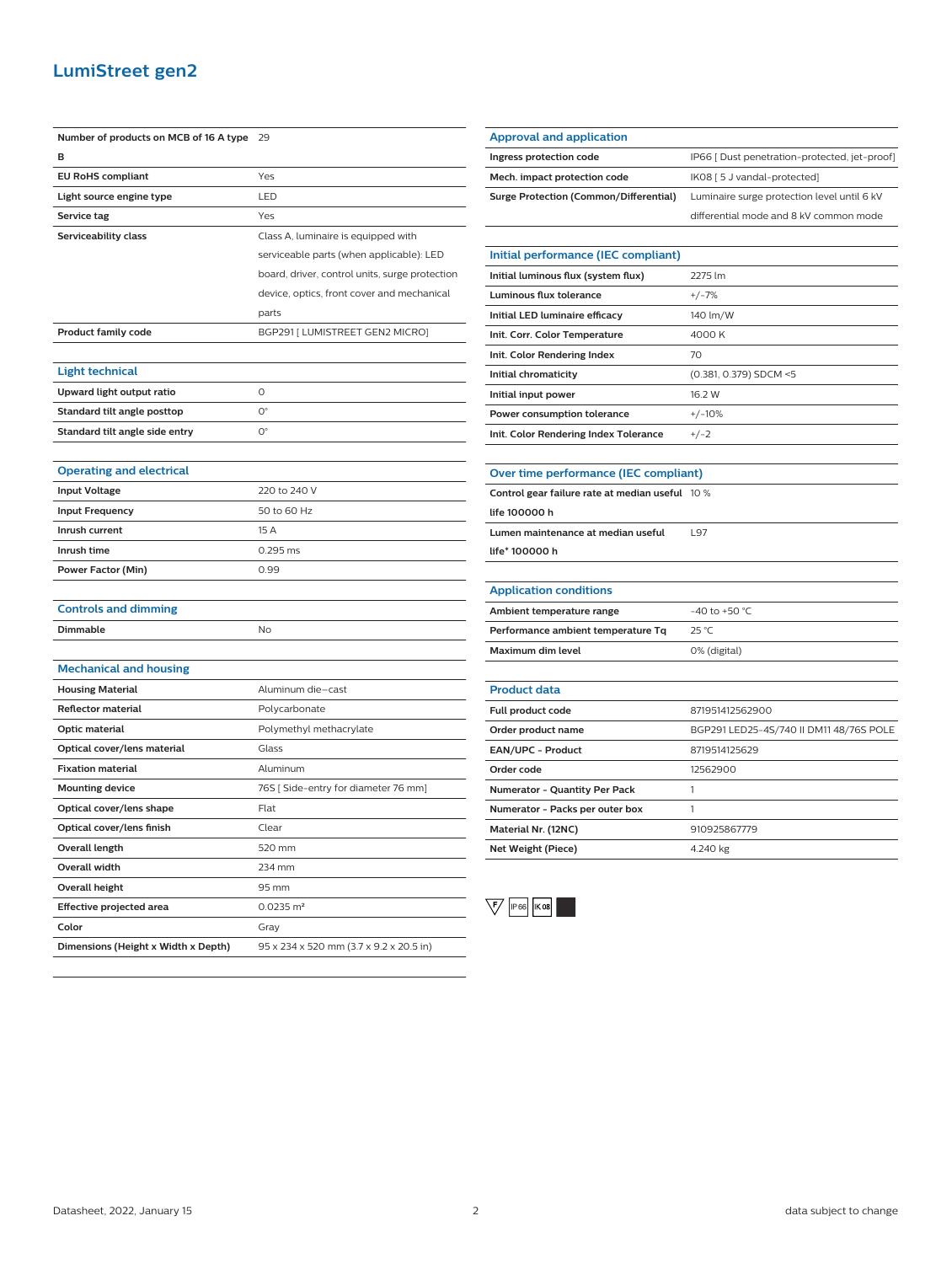### **LumiStreet gen2**

| Number of products on MCB of 16 A type | 29                                             |
|----------------------------------------|------------------------------------------------|
| в                                      |                                                |
| <b>EU RoHS compliant</b>               | Yes                                            |
| Light source engine type               | LED                                            |
| Service tag                            | Yes                                            |
| Serviceability class                   | Class A, luminaire is equipped with            |
|                                        | serviceable parts (when applicable): LED       |
|                                        | board, driver, control units, surge protection |
|                                        | device, optics, front cover and mechanical     |
|                                        | parts                                          |
| <b>Product family code</b>             | BGP291 [ LUMISTREET GEN2 MICRO]                |
|                                        |                                                |
| <b>Light technical</b>                 |                                                |
| Upward light output ratio              | $\Omega$                                       |
| Standard tilt angle posttop            | $\mathsf{O}^\circ$                             |
| Standard tilt angle side entry         | $\mathsf{O}^\circ$                             |
|                                        |                                                |
| <b>Operating and electrical</b>        |                                                |
| <b>Input Voltage</b>                   | 220 to 240 V                                   |
| <b>Input Frequency</b>                 | 50 to 60 Hz                                    |
| Inrush current                         | 15 A                                           |
| Inrush time                            | 0.295 ms                                       |
| <b>Power Factor (Min)</b>              | 0.99                                           |
|                                        |                                                |
| <b>Controls and dimming</b>            |                                                |
| <b>Dimmable</b>                        | No                                             |
|                                        |                                                |
| <b>Mechanical and housing</b>          |                                                |
| <b>Housing Material</b>                | Aluminum die-cast                              |
| <b>Reflector material</b>              | Polycarbonate                                  |
| Optic material                         | Polymethyl methacrylate                        |
| Optical cover/lens material            | Glass                                          |
| <b>Fixation material</b>               | Aluminum                                       |
| <b>Mounting device</b>                 | 76S [Side-entry for diameter 76 mm]            |
| Optical cover/lens shape               | Flat                                           |
| Optical cover/lens finish              | Clear                                          |
| Overall length                         | 520 mm                                         |
| <b>Overall width</b>                   | 234 mm                                         |
| <b>Overall height</b>                  | 95 mm                                          |
| <b>Effective projected area</b>        | $0.0235$ m <sup>2</sup>                        |
| Color                                  | Gray                                           |
| Dimensions (Height x Width x Depth)    | 95 x 234 x 520 mm (3.7 x 9.2 x 20.5 in)        |

| <b>Approval and application</b>        |                                               |
|----------------------------------------|-----------------------------------------------|
| Ingress protection code                | IP66 [ Dust penetration-protected, jet-proof] |
| Mech. impact protection code           | IK08 [ 5 J vandal-protected]                  |
| Surge Protection (Common/Differential) | Luminaire surge protection level until 6 kV   |
|                                        | differential mode and 8 kV common mode        |
|                                        |                                               |
| Initial performance (IEC compliant)    |                                               |
| Initial luminous flux (system flux)    | 2275 lm                                       |

| Initial luminous flux (system flux)   | 2275 lm                |
|---------------------------------------|------------------------|
| Luminous flux tolerance               | $+/-7%$                |
| Initial LED luminaire efficacy        | 140 lm/W               |
| Init. Corr. Color Temperature         | 4000 K                 |
| Init. Color Rendering Index           | 70                     |
| Initial chromaticity                  | (0.381, 0.379) SDCM <5 |
| Initial input power                   | 16.2 W                 |
| Power consumption tolerance           | $+/-10%$               |
| Init. Color Rendering Index Tolerance | $+/-2$                 |

| Over time performance (IEC compliant)           |  |
|-------------------------------------------------|--|
| Control gear failure rate at median useful 10 % |  |

| Control gear failure rate at median useful $10\%$ |     |
|---------------------------------------------------|-----|
| life 100000 h                                     |     |
| Lumen maintenance at median useful                | 197 |
| life* 100000 h                                    |     |
|                                                   |     |

| <b>Application conditions</b>      |                   |
|------------------------------------|-------------------|
| Ambient temperature range          | $-40$ to $+50$ °C |
| Performance ambient temperature Tq | $25^{\circ}$ C    |
| Maximum dim level                  | 0% (digital)      |

| <b>Product data</b>                  |                                         |
|--------------------------------------|-----------------------------------------|
| <b>Full product code</b>             | 871951412562900                         |
| Order product name                   | BGP291 LED25-4S/740 II DM11 48/76S POLE |
| <b>EAN/UPC - Product</b>             | 8719514125629                           |
| Order code                           | 12562900                                |
| <b>Numerator - Quantity Per Pack</b> |                                         |
| Numerator - Packs per outer box      |                                         |
| Material Nr. (12NC)                  | 910925867779                            |
| Net Weight (Piece)                   | 4.240 kg                                |
|                                      |                                         |